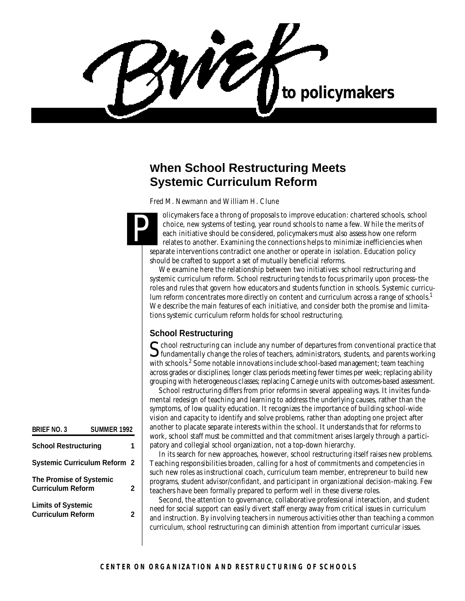WEA to policymakers

# **When School Restructuring Meets Systemic Curriculum Reform**

*Fred M. Newmann and William H. Clune*

olicymakers face a throng of proposals to improve education: chartered schools, school choice, new systems of testing, year round schools to name a few. While the merits of each initiative should be considered, policymakers must also assess how one reform relates to another. Examining the connections helps to minimize inefficiencies when separate interventions contradict one another or operate in isolation. Education policy should be crafted to support a set of mutually beneficial reforms. P

We examine here the relationship between two initiatives: school restructuring and systemic curriculum reform. School restructuring tends to focus primarily upon process–the roles and rules that govern how educators and students function in schools. Systemic curriculum reform concentrates more directly on content and curriculum across a range of schools.<sup>1</sup> We describe the main features of each initiative, and consider both the promise and limitations systemic curriculum reform holds for school restructuring.

## **School Restructuring**

School restructuring can include any number of departures from conventional practice that fundamentally change the roles of teachers, administrators, students, and parents working  $\mathbf{\mathcal{S}}$  fundamentally change the roles of teachers, administrators, students, and parents working with schools.<sup>2</sup> Some notable innovations include school-based management; team teaching across grades or disciplines; longer class periods meeting fewer times per week; replacing ability grouping with heterogeneous classes; replacing Carnegie units with outcomes-based assessment.

School restructuring differs from prior reforms in several appealing ways. It invites fundamental redesign of teaching and learning to address the underlying causes, rather than the symptoms, of low quality education. It recognizes the importance of building school-wide vision and capacity to identify and solve problems, rather than adopting one project after another to placate separate interests within the school. It understands that for reforms to work, school staff must be committed and that commitment arises largely through a participatory and collegial school organization, not a top-down hierarchy.

In its search for new approaches, however, school restructuring itself raises new problems. Teaching responsibilities broaden, calling for a host of commitments and competencies in such new roles as instructional coach, curriculum team member, entrepreneur to build new programs, student advisor/confidant, and participant in organizational decision-making. Few teachers have been formally prepared to perform well in these diverse roles.

Second, the attention to governance, collaborative professional interaction, and student need for social support can easily divert staff energy away from critical issues in curriculum and instruction. By involving teachers in numerous activities other than teaching a common curriculum, school restructuring can diminish attention from important curricular issues.

| <b>BRIEF NO. 3</b>                                    | SUMMER 1992 |   |
|-------------------------------------------------------|-------------|---|
| <b>School Restructuring</b>                           |             |   |
| <b>Systemic Curriculum Reform 2</b>                   |             |   |
| The Promise of Systemic<br><b>Curriculum Reform</b>   |             | 2 |
| <b>Limits of Systemic</b><br><b>Curriculum Reform</b> |             | 2 |
|                                                       |             |   |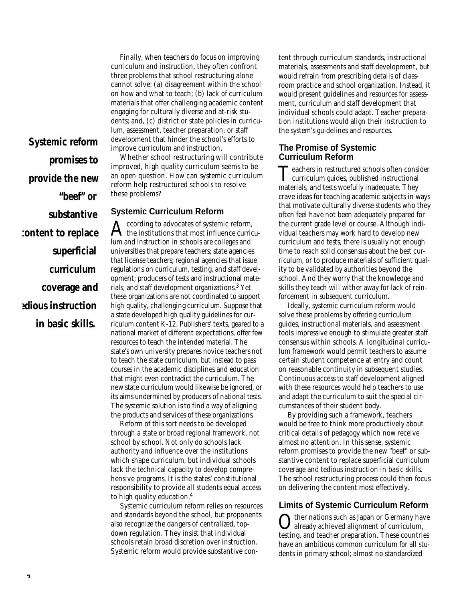Finally, when teachers do focus on improving curriculum and instruction, they often confront three problems that school restructuring alone cannot solve: (a) disagreement within the school on how and what to teach; (b) lack of curriculum materials that offer challenging academic content engaging for culturally diverse and at-risk students; and, (c) district or state policies in curriculum, assessment, teacher preparation, or staff development that hinder the school's efforts to improve curriculum and instruction.

*Systemic reform promises to provide the new "beef" or substantive content to replace superficial curriculum coverage and tedious instruction in basic skills.*

Whether school restructuring will contribute improved, high quality curriculum seems to be an open question. How can systemic curriculum reform help restructured schools to resolve these problems?

#### **Systemic Curriculum Reform**

A ccording to advocates of systemic reform,<br>the institutions that most influence curricuccording to advocates of systemic reform, lum and instruction in schools are colleges and universities that prepare teachers; state agencies that license teachers; regional agencies that issue regulations on curriculum, testing, and staff development; producers of tests and instructional materials; and staff development organizations.<sup>3</sup> Yet these organizations are not coordinated to support high quality, challenging curriculum. Suppose that a state developed high quality guidelines for curriculum content K-12. Publishers' texts, geared to a national market of different expectations, offer few resources to teach the intended material. The state's own university prepares novice teachers not to teach the state curriculum, but instead to pass courses in the academic disciplines and education that might even contradict the curriculum. The new state curriculum would likewise be ignored, or its aims undermined by producers of national tests. The systemic solution is to find a way of aligning the products and services of these organizations.

Reform of this sort needs to be developed through a state or broad regional framework, not school by school. Not only do schools lack authority and influence over the institutions which shape curriculum, but individual schools lack the technical capacity to develop comprehensive programs. It is the states' constitutional responsibility to provide all students equal access to high quality education.<sup>4</sup>

Systemic curriculum reform relies on resources and standards beyond the school, but proponents also recognize the dangers of centralized, topdown regulation. They insist that individual schools retain broad discretion over instruction. Systemic reform would provide substantive content through curriculum standards, instructional materials, assessments and staff development, but would refrain from prescribing details of classroom practice and school organization. Instead, it would present guidelines and resources for assessment, curriculum and staff development that individual schools could adapt. Teacher preparation institutions would align their instruction to the system's guidelines and resources.

#### **The Promise of Systemic Curriculum Reform**

Teachers in restructured schools often considerational curriculum guides, published instructional eachers in restructured schools often consider materials, and tests woefully inadequate. They crave ideas for teaching academic subjects in ways that motivate culturally diverse students who they often feel have not been adequately prepared for the current grade level or course. Although individual teachers may work hard to develop new curriculum and tests, there is usually not enough time to reach solid consensus about the best curriculum, or to produce materials of sufficient quality to be validated by authorities beyond the school. And they worry that the knowledge and skills they teach will wither away for lack of reinforcement in subsequent curriculum.

Ideally, systemic curriculum reform would solve these problems by offering curriculum guides, instructional materials, and assessment tools impressive enough to stimulate greater staff consensus within schools. A longitudinal curriculum framework would permit teachers to assume certain student competence at entry and count on reasonable continuity in subsequent studies. Continuous access to staff development aligned with these resources would help teachers to use and adapt the curriculum to suit the special circumstances of their student body.

By providing such a framework, teachers would be free to think more productively about critical details of pedagogy which now receive almost no attention. In this sense, systemic reform promises to provide the new "beef" or substantive content to replace superficial curriculum coverage and tedious instruction in basic skills. The school restructuring process could then focus on delivering the content most effectively.

## **Limits of Systemic Curriculum Reform**

O ther nations such as Japan or Germany have already achieved alignment of curriculum, testing, and teacher preparation. These countries have an ambitious common curriculum for all students in primary school; almost no standardized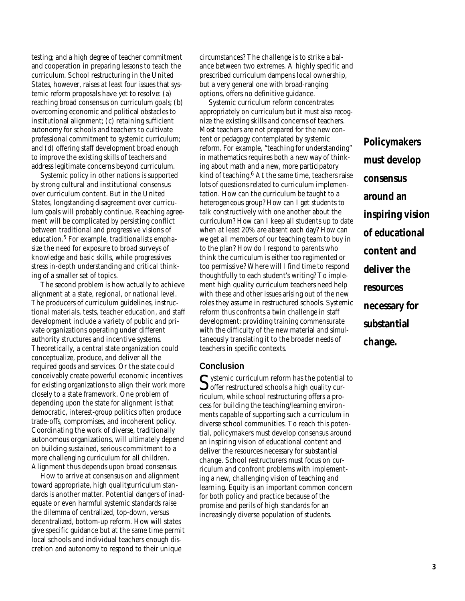testing; and a high degree of teacher commitment and cooperation in preparing lessons to teach the curriculum. School restructuring in the United States, however, raises at least four issues that systemic reform proposals have yet to resolve: (a) reaching broad consensus on curriculum goals; (b) overcoming economic and political obstacles to institutional alignment; (c) retaining sufficient autonomy for schools and teachers to cultivate professional commitment to systemic curriculum; and (d) offering staff development broad enough to improve the existing skills of teachers and address legitimate concerns beyond curriculum.

Systemic policy in other nations is supported by strong cultural and institutional consensus over curriculum content. But in the United States, longstanding disagreement over curriculum goals will probably continue. Reaching agreement will be complicated by persisting conflict between traditional and progressive visions of education.<sup>5</sup> For example, traditionalists emphasize the need for exposure to broad surveys of knowledge and basic skills, while progressives stress in-depth understanding and critical thinking of a smaller set of topics.

The second problem is how actually to achieve alignment at a state, regional, or national level. The producers of curriculum guidelines, instructional materials, tests, teacher education, and staff development include a variety of public and private organizations operating under different authority structures and incentive systems. Theoretically, a central state organization could conceptualize, produce, and deliver all the required goods and services. Or the state could conceivably create powerful economic incentives for existing organizations to align their work more closely to a state framework. One problem of depending upon the state for alignment is that democratic, interest-group politics often produce trade-offs, compromises, and incoherent policy. Coordinating the work of diverse, traditionally autonomous organizations, will ultimately depend on building sustained, serious commitment to a more challenging curriculum for all children. Alignment thus depends upon broad consensus.

How to arrive at consensus on and alignment toward appropriate, high quality curriculum standards is another matter. Potential dangers of inadequate or even harmful systemic standards raise the dilemma of centralized, top-down, versus decentralized, bottom-up reform. How will states give specific guidance but at the same time permit local schools and individual teachers enough discretion and autonomy to respond to their unique

circumstances? The challenge is to strike a balance between two extremes. A highly specific and prescribed curriculum dampens local ownership, but a very general one with broad-ranging options, offers no definitive guidance.

Systemic curriculum reform concentrates appropriately on curriculum but it must also recognize the existing skills and concerns of teachers. Most teachers are not prepared for the new content or pedagogy contemplated by systemic reform. For example, "teaching for understanding" in mathematics requires both a new way of thinking about math and a new, more participatory kind of teaching. $6$  At the same time, teachers raise lots of questions related to curriculum implementation. How can the curriculum be taught to a heterogeneous group? How can I get students to talk constructively with one another about the curriculum? How can I keep all students up to date when at least 20% are absent each day? How can we get all members of our teaching team to buy in to the plan? How do I respond to parents who think the curriculum is either too regimented or too permissive? Where will I find time to respond thoughtfully to each student's writing? To implement high quality curriculum teachers need help with these and other issues arising out of the new roles they assume in restructured schools. Systemic reform thus confronts a twin challenge in staff development: providing training commensurate with the difficulty of the new material and simultaneously translating it to the broader needs of teachers in specific contexts.

#### **Conclusion**

Systemic curriculum reform has the potential to<br>Soffer restructured schools a high quality cur- $\bigcup$  offer restructured schools a high quality curriculum, while school restructuring offers a process for building the teaching/learning environments capable of supporting such a curriculum in diverse school communities. To reach this potential, policymakers must develop consensus around an inspiring vision of educational content and deliver the resources necessary for substantial change. School restructurers must focus on curriculum and confront problems with implementing a new, challenging vision of teaching and learning. Equity is an important common concern for both policy and practice because of the promise and perils of high standards for an increasingly diverse population of students.

*Policymakers must develop consensus around an inspiring vision of educational content and deliver the resources necessary for substantial change.*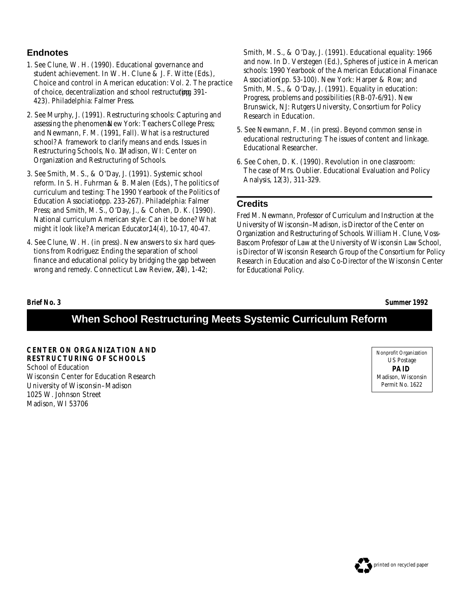## **Endnotes**

- 1. See Clune, W. H. (1990). Educational governance and student achievement. In W. H. Clune & J. F. Witte (Eds.), *Choice and control in American education: Vol. 2. The practice of choice, decentralization and school restructuring 391-*423). Philadelphia: Falmer Press.
- 2. See Murphy, J. (1991). *Restructuring schools: Capturing and* assessing the phenomen.New York: Teachers College Press; and Newmann, F. M. (1991, Fall). What is a restructured school? A framework to clarify means and ends. *Issues in Restructuring Schools, No. 1,*Madison, WI: Center on Organization and Restructuring of Schools.
- 3. See Smith, M. S., & O'Day, J. (1991). Systemic school reform. In S. H. Fuhrman & B. Malen (Eds.), *The politics of curriculum and testing: The 1990 Yearbook of the Politics of Education Association*(pp. 233-267). Philadelphia: Falmer Press; and Smith, M. S., O'Day, J., & Cohen, D. K. (1990). National curriculum American style: Can it be done? What might it look like? *American Educator,1 4*(4), 10-17, 40-47.
- 4. See Clune, W. H. (in press). New answers to six hard questions from Rodriguez: Ending the separation of school finance and educational policy by bridging the gap between wrong and remedy. Connecticut Law Review, 2(48), 1-42;

Smith, M. S., & O'Day, J. (1991). Educational equality: 1966 and now. In D. Verstegen (Ed.), *Spheres of justice in American schools: 1990 Yearbook of the American Educational Finanace* Association (pp. 53-100). New York: Harper & Row; and Smith, M. S., & O'Day, J. (1991). Equality in education: Progress, problems and possibilities (RB-07-6/91). New Brunswick, NJ: Rutgers University, Consortium for Policy Research in Education.

- 5. See Newmann, F. M. (in press). Beyond common sense in educational restructuring: The issues of content and linkage. *Educational Researcher.*
- 6. See Cohen, D. K. (1990). Revolution in one classroom: The case of Mrs. Oublier. *Educational Evaluation and Policy Analysis, 12*(3), 311-329.

## **Credits**

*Fred M. Newmann, Professor of Curriculum and Instruction at the University of Wisconsin–Madison, is Director of the Center on Organization and Restructuring of Schools. William H. Clune, Voss-Bascom Professor of Law at the University of Wisconsin Law School, is Director of Wisconsin Research Group of the Consortium for Policy Research in Education and also Co-Director of the Wisconsin Center for Educational Policy.*

**Brief No. 3 Summer 1992**

# **When School Restructuring Meets Systemic Curriculum Reform**

**CENTER ON ORGANIZATION AND RESTRUCTURING OF SCHOOLS** School of Education Wisconsin Center for Education Research University of Wisconsin–Madison 1025 W. Johnson Street Madison, WI 53706

Nonprofit Organization US Postage **PAID** Madison, Wisconsin Permit No. 1622